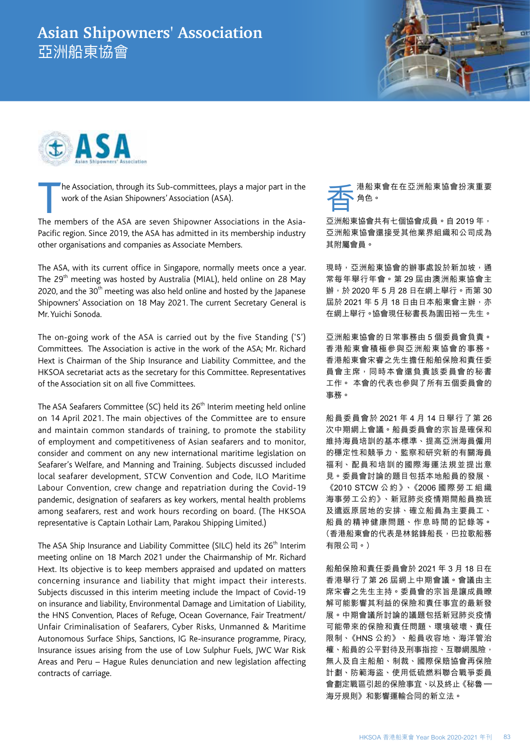## **Asian Shipowners' Association** 亞洲船東協會





The Association, through its Sub-committees, plays a major part in the work of the Asian Shipowners' Association (ASA).

The members of the ASA are seven Shipowner Associations in the Asia-Pacific region. Since 2019, the ASA has admitted in its membership industry other organisations and companies as Associate Members.

The ASA, with its current office in Singapore, normally meets once a year. The 29th meeting was hosted by Australia (MIAL), held online on 28 May 2020, and the  $30<sup>th</sup>$  meeting was also held online and hosted by the Japanese Shipowners' Association on 18 May 2021. The current Secretary General is Mr. Yuichi Sonoda.

The on-going work of the ASA is carried out by the five Standing ('S') Committees. The Association is active in the work of the ASA; Mr. Richard Hext is Chairman of the Ship Insurance and Liability Committee, and the HKSOA secretariat acts as the secretary for this Committee. Representatives of the Association sit on all five Committees.

The ASA Seafarers Committee (SC) held its 26<sup>th</sup> Interim meeting held online on 14 April 2021. The main objectives of the Committee are to ensure and maintain common standards of training, to promote the stability of employment and competitiveness of Asian seafarers and to monitor, consider and comment on any new international maritime legislation on Seafarer's Welfare, and Manning and Training. Subjects discussed included local seafarer development, STCW Convention and Code, ILO Maritime Labour Convention, crew change and repatriation during the Covid-19 pandemic, designation of seafarers as key workers, mental health problems among seafarers, rest and work hours recording on board. (The HKSOA representative is Captain Lothair Lam, Parakou Shipping Limited.)

The ASA Ship Insurance and Liability Committee (SILC) held its 26<sup>th</sup> Interim meeting online on 18 March 2021 under the Chairmanship of Mr. Richard Hext. Its objective is to keep members appraised and updated on matters concerning insurance and liability that might impact their interests. Subjects discussed in this interim meeting include the Impact of Covid-19 on insurance and liability, Environmental Damage and Limitation of Liability, the HNS Convention, Places of Refuge, Ocean Governance, Fair Treatment/ Unfair Criminalisation of Seafarers, Cyber Risks, Unmanned & Maritime Autonomous Surface Ships, Sanctions, IG Re-insurance programme, Piracy, Insurance issues arising from the use of Low Sulphur Fuels, JWC War Risk Areas and Peru – Hague Rules denunciation and new legislation affecting contracts of carriage.

港船東會在在亞洲船東協會扮演重要 角色。

亞洲船東協會共有七個協會成員。自 2019 年, 亞洲船東協會還接受其他業界組織和公司成為 其附屬會員。

現時,亞洲船東協會的辦事處設於新加坡,通 常每年舉行年會。第 29 屆由澳洲船東協會主 辦,於 2020 年 5 月 28 日在網上舉行。而第 30 屆於 2021年5月18日由日本船東會主辦,亦 在網上舉行。協會現任秘書長為園田裕一先生。

亞洲船東協會的日常事務由 5 個委員會負責。 香港船東會積極參與亞洲船東協會的事務。 香港船東會宋睿之先生擔任船舶保險和責任委 員會主席,同時本會還負責該委員會的秘書 工作。 本會的代表也參與了所有五個委員會的 事務。

船員委員會於 2021 年 4 月 14 日舉行了第 26 次中期網上會議。船員委員會的宗旨是確保和 維持海員培訓的基本標準、提高亞洲海員僱用 的穩定性和競爭力、監察和研究新的有關海員 福利、配員和培訓的國際海運法規並提出意 見。委員會討論的題目包括本地船員的發展、 《2010 STCW 公 約 》、《2006 國 際 勞 工 組 織 海事勞工公約》、新冠肺炎疫情期間船員換班 及遣返原居地的安排、確立船員為主要員工、 船員的精神健康問題、作息時間的記錄等。 (香港船東會的代表是林銘鋒船長,巴拉歌船務 有限公司。)

船舶保險和責任委員會於 2021 年 3 月 18 日在 香港舉行了第 26 屆網上中期會議。會議由主 席宋睿之先生主持。委員會的宗旨是讓成員瞭 解可能影響其利益的保險和責任事宜的最新發 展。中期會議所討論的議題包括新冠肺炎疫情 可能帶來的保險和責任問題、環境破壞、責任 限制、《HNS 公約》、船員收容地、海洋管治 權、船員的公平對待及刑事指控、互聯網風險, 無人及自主船舶、制裁、國際保賠協會再保險 計劃、防範海盜、使用低硫燃料聯合戰爭委員 會劃定戰區引起的保險事宜、以及終止《秘魯 – 海牙規則》和影響運輸合同的新立法。